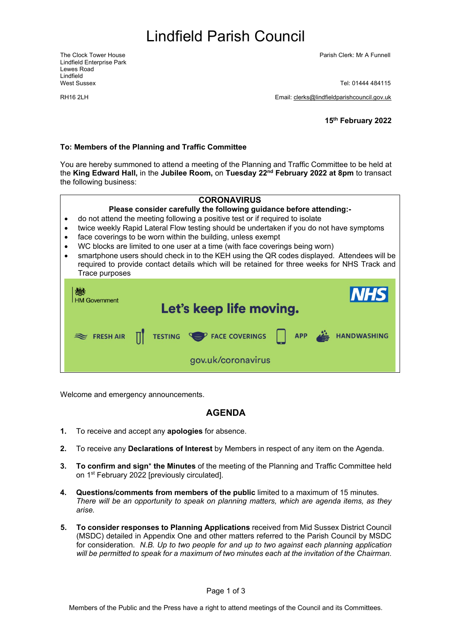# <span id="page-0-1"></span>Lindfield Parish Council

Lindfield Enterprise Park Lewes Road Lindfield<br>West Sussex

The Clock Tower House Parish Clerk: Mr A Funnell

Tel: 01444 484115

RH16 2LH Email: [clerks@lindfieldparishcouncil.gov.uk](mailto:clerks@lindfieldparishcouncil.gov.uk)

<span id="page-0-0"></span>**15th February 2022**

#### **To: Members of the Planning and Traffic Committee**

You are hereby summoned to attend a meeting of the Planning and Traffic Committee to be held at the **King Edward Hall,** in the **Jubilee Room,** on **Tuesday 22nd February 2022 at 8pm** to transact the following business:



Welcome and emergency announcements.

### **AGENDA**

- **1.** To receive and accept any **apologies** for absence.
- **2.** To receive any **Declarations of Interest** by Members in respect of any item on the Agenda.
- **3. To confirm and sign**\* **the Minutes** of the meeting of the Planning and Traffic Committee held on 1st February 2022 [previously circulated].
- **4. Questions/comments from members of the public** limited to a maximum of 15 minutes. *There will be an opportunity to speak on planning matters, which are agenda items, as they arise.*
- **5. To consider responses to Planning Applications** received from Mid Sussex District Council (MSDC) detailed in Appendix One and other matters referred to the Parish Council by MSDC for consideration. *N.B. Up to two people for and up to two against each planning application will be permitted to speak for a maximum of two minutes each at the invitation of the Chairman*.

Page 1 of 3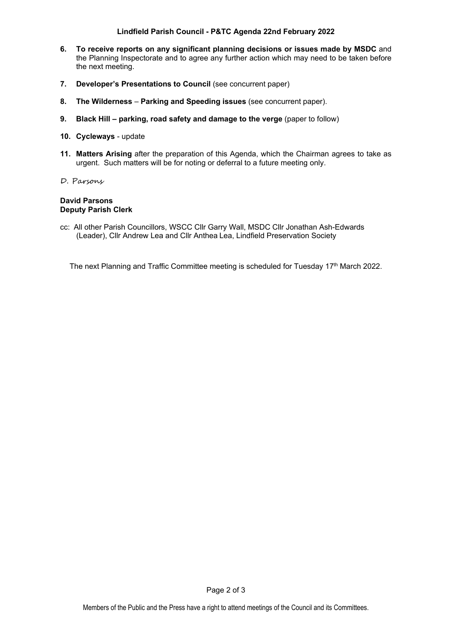### **Lindfield Parish Council - P&TC Agenda 22nd [February](#page-0-0) 2022**

- **6. To receive reports on any significant planning decisions or issues made by MSDC** and the Planning Inspectorate and to agree any further action which may need to be taken before the next meeting.
- **7. Developer's Presentations to Council** (see concurrent paper)
- **8. The Wilderness Parking and Speeding issues** (see concurrent paper).
- **9. Black Hill – parking, road safety and damage to the verge** (paper to follow)
- **10. Cycleways** update
- **11. Matters Arising** after the preparation of this Agenda, which the Chairman agrees to take as urgent. Such matters will be for noting or deferral to a future meeting only.
- D. Parsons

#### **David Parsons Deputy Parish Clerk**

cc: All other Parish Councillors, WSCC Cllr Garry Wall, MSDC Cllr Jonathan Ash-Edwards (Leader), Cllr Andrew Lea and Cllr Anthea Lea, Lindfield Preservation Society

The next Planning and Traffic Committee meeting is scheduled for Tuesday 17<sup>th</sup> March 2022.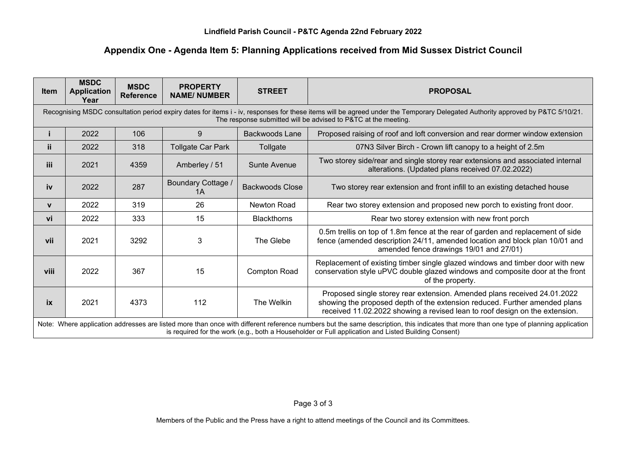### **Appendix One - Agenda Item 5: Planning Applications received from Mid Sussex District Council**

| <b>Item</b>  | <b>MSDC</b><br><b>Application</b><br>Year                                                                                                                                                                                                                                                    | <b>MSDC</b><br><b>Reference</b> | <b>PROPERTY</b><br><b>NAME/NUMBER</b> | <b>STREET</b>         | <b>PROPOSAL</b>                                                                                                                                                                                                                       |
|--------------|----------------------------------------------------------------------------------------------------------------------------------------------------------------------------------------------------------------------------------------------------------------------------------------------|---------------------------------|---------------------------------------|-----------------------|---------------------------------------------------------------------------------------------------------------------------------------------------------------------------------------------------------------------------------------|
|              | Recognising MSDC consultation period expiry dates for items i - iv, responses for these items will be agreed under the Temporary Delegated Authority approved by P&TC 5/10/21.<br>The response submitted will be advised to P&TC at the meeting.                                             |                                 |                                       |                       |                                                                                                                                                                                                                                       |
|              | 2022                                                                                                                                                                                                                                                                                         | 106                             | 9                                     | <b>Backwoods Lane</b> | Proposed raising of roof and loft conversion and rear dormer window extension                                                                                                                                                         |
| ii.          | 2022                                                                                                                                                                                                                                                                                         | 318                             | <b>Tollgate Car Park</b>              | Tollgate              | 07N3 Silver Birch - Crown lift canopy to a height of 2.5m                                                                                                                                                                             |
| <b>iii</b>   | 2021                                                                                                                                                                                                                                                                                         | 4359                            | Amberley / 51                         | <b>Sunte Avenue</b>   | Two storey side/rear and single storey rear extensions and associated internal<br>alterations. (Updated plans received 07.02.2022)                                                                                                    |
| iv           | 2022                                                                                                                                                                                                                                                                                         | 287                             | <b>Boundary Cottage /</b><br>1A       | Backwoods Close       | Two storey rear extension and front infill to an existing detached house                                                                                                                                                              |
| $\mathbf{v}$ | 2022                                                                                                                                                                                                                                                                                         | 319                             | 26                                    | Newton Road           | Rear two storey extension and proposed new porch to existing front door.                                                                                                                                                              |
| vi           | 2022                                                                                                                                                                                                                                                                                         | 333                             | 15                                    | <b>Blackthorns</b>    | Rear two storey extension with new front porch                                                                                                                                                                                        |
| vii          | 2021                                                                                                                                                                                                                                                                                         | 3292                            | 3                                     | The Glebe             | 0.5m trellis on top of 1.8m fence at the rear of garden and replacement of side<br>fence (amended description 24/11, amended location and block plan 10/01 and<br>amended fence drawings 19/01 and 27/01)                             |
| viii         | 2022                                                                                                                                                                                                                                                                                         | 367                             | 15                                    | <b>Compton Road</b>   | Replacement of existing timber single glazed windows and timber door with new<br>conservation style uPVC double glazed windows and composite door at the front<br>of the property.                                                    |
| ix           | 2021                                                                                                                                                                                                                                                                                         | 4373                            | 112                                   | The Welkin            | Proposed single storey rear extension. Amended plans received 24.01.2022<br>showing the proposed depth of the extension reduced. Further amended plans<br>received 11.02.2022 showing a revised lean to roof design on the extension. |
|              | Note: Where application addresses are listed more than once with different reference numbers but the same description, this indicates that more than one type of planning application<br>is required for the work (e.g., both a Householder or Full application and Listed Building Consent) |                                 |                                       |                       |                                                                                                                                                                                                                                       |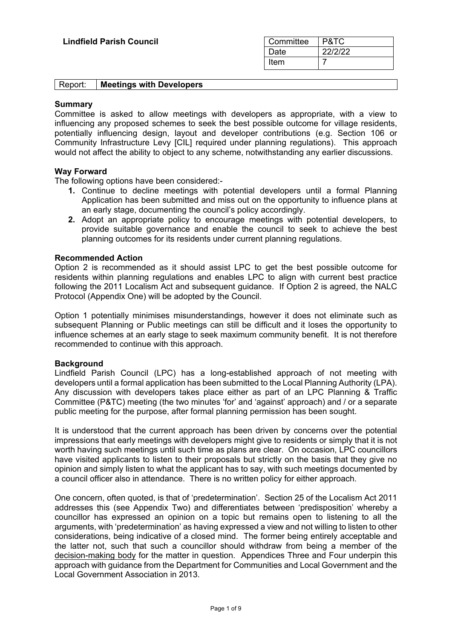| Committee | P&TC    |
|-----------|---------|
| Date      | 22/2/22 |
| Item      |         |

| Report: | <b>Meetings with Developers</b> |  |
|---------|---------------------------------|--|
|---------|---------------------------------|--|

### **Summary**

Committee is asked to allow meetings with developers as appropriate, with a view to influencing any proposed schemes to seek the best possible outcome for village residents, potentially influencing design, layout and developer contributions (e.g. Section 106 or Community Infrastructure Levy [CIL] required under planning regulations). This approach would not affect the ability to object to any scheme, notwithstanding any earlier discussions.

### **Way Forward**

The following options have been considered:-

- **1.** Continue to decline meetings with potential developers until a formal Planning Application has been submitted and miss out on the opportunity to influence plans at an early stage, documenting the council's policy accordingly.
- **2.** Adopt an appropriate policy to encourage meetings with potential developers, to provide suitable governance and enable the council to seek to achieve the best planning outcomes for its residents under current planning regulations.

### **Recommended Action**

Option 2 is recommended as it should assist LPC to get the best possible outcome for residents within planning regulations and enables LPC to align with current best practice following the 2011 Localism Act and subsequent guidance. If Option 2 is agreed, the NALC Protocol (Appendix One) will be adopted by the Council.

Option 1 potentially minimises misunderstandings, however it does not eliminate such as subsequent Planning or Public meetings can still be difficult and it loses the opportunity to influence schemes at an early stage to seek maximum community benefit. It is not therefore recommended to continue with this approach.

### **Background**

Lindfield Parish Council (LPC) has a long-established approach of not meeting with developers until a formal application has been submitted to the Local Planning Authority (LPA). Any discussion with developers takes place either as part of an LPC Planning & Traffic Committee (P&TC) meeting (the two minutes 'for' and 'against' approach) and / or a separate public meeting for the purpose, after formal planning permission has been sought.

It is understood that the current approach has been driven by concerns over the potential impressions that early meetings with developers might give to residents or simply that it is not worth having such meetings until such time as plans are clear. On occasion, LPC councillors have visited applicants to listen to their proposals but strictly on the basis that they give no opinion and simply listen to what the applicant has to say, with such meetings documented by a council officer also in attendance. There is no written policy for either approach.

One concern, often quoted, is that of 'predetermination'. Section 25 of the Localism Act 2011 addresses this (see Appendix Two) and differentiates between 'predisposition' whereby a councillor has expressed an opinion on a topic but remains open to listening to all the arguments, with 'predetermination' as having expressed a view and not willing to listen to other considerations, being indicative of a closed mind. The former being entirely acceptable and the latter not, such that such a councillor should withdraw from being a member of the decision-making body for the matter in question. Appendices Three and Four underpin this approach with guidance from the Department for Communities and Local Government and the Local Government Association in 2013.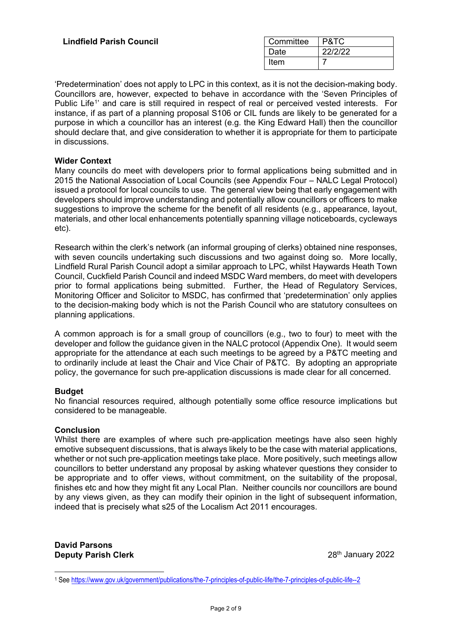| Committee | P&TC    |
|-----------|---------|
| Date      | 22/2/22 |
| Item      |         |

'Predetermination' does not apply to LPC in this context, as it is not the decision-making body. Councillors are, however, expected to behave in accordance with the 'Seven Principles of Public Life<sup>[1](#page-4-0)</sup>' and care is still required in respect of real or perceived vested interests. For instance, if as part of a planning proposal S106 or CIL funds are likely to be generated for a purpose in which a councillor has an interest (e.g. the King Edward Hall) then the councillor should declare that, and give consideration to whether it is appropriate for them to participate in discussions.

### **Wider Context**

Many councils do meet with developers prior to formal applications being submitted and in 2015 the National Association of Local Councils (see Appendix Four – NALC Legal Protocol) issued a protocol for local councils to use. The general view being that early engagement with developers should improve understanding and potentially allow councillors or officers to make suggestions to improve the scheme for the benefit of all residents (e.g., appearance, layout, materials, and other local enhancements potentially spanning village noticeboards, cycleways etc).

Research within the clerk's network (an informal grouping of clerks) obtained nine responses, with seven councils undertaking such discussions and two against doing so. More locally, Lindfield Rural Parish Council adopt a similar approach to LPC, whilst Haywards Heath Town Council, Cuckfield Parish Council and indeed MSDC Ward members, do meet with developers prior to formal applications being submitted. Further, the Head of Regulatory Services, Monitoring Officer and Solicitor to MSDC, has confirmed that 'predetermination' only applies to the decision-making body which is not the Parish Council who are statutory consultees on planning applications.

A common approach is for a small group of councillors (e.g., two to four) to meet with the developer and follow the guidance given in the NALC protocol (Appendix One). It would seem appropriate for the attendance at each such meetings to be agreed by a P&TC meeting and to ordinarily include at least the Chair and Vice Chair of P&TC. By adopting an appropriate policy, the governance for such pre-application discussions is made clear for all concerned.

### **Budget**

No financial resources required, although potentially some office resource implications but considered to be manageable.

### **Conclusion**

Whilst there are examples of where such pre-application meetings have also seen highly emotive subsequent discussions, that is always likely to be the case with material applications, whether or not such pre-application meetings take place. More positively, such meetings allow councillors to better understand any proposal by asking whatever questions they consider to be appropriate and to offer views, without commitment, on the suitability of the proposal, finishes etc and how they might fit any Local Plan. Neither councils nor councillors are bound by any views given, as they can modify their opinion in the light of subsequent information, indeed that is precisely what s25 of the Localism Act 2011 encourages.

**David Parsons Deputy Parish Clerk** 2022 **28th January 2022** 

<span id="page-4-0"></span><sup>1</sup> See<https://www.gov.uk/government/publications/the-7-principles-of-public-life/the-7-principles-of-public-life--2>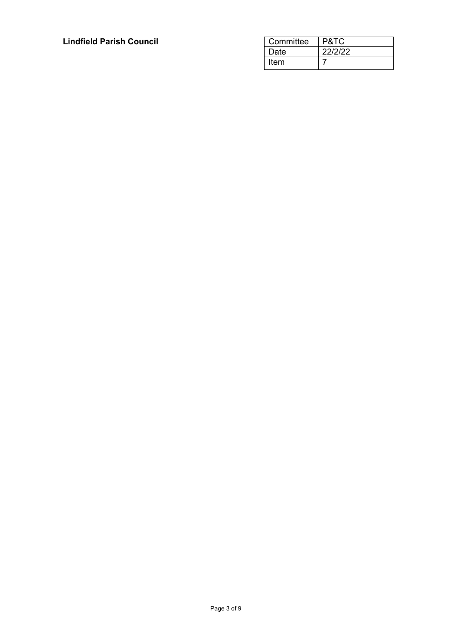| Committee | P&TC    |
|-----------|---------|
| Date      | 22/2/22 |
| Item      |         |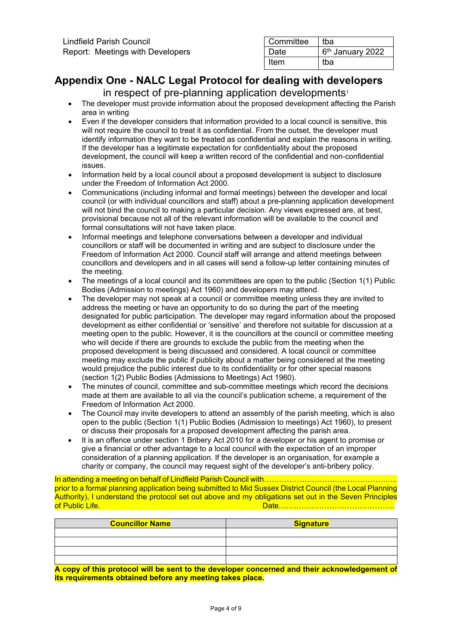| Committee | tba                          |
|-----------|------------------------------|
| Date      | 6 <sup>th</sup> January 2022 |
| ltem      | tba                          |

# **Appendix One - NALC Legal Protocol for dealing with developers**

in respect of pre-planning application developments<sup>1</sup>

- The developer must provide information about the proposed development affecting the Parish area in writing
- Even if the developer considers that information provided to a local council is sensitive, this will not require the council to treat it as confidential. From the outset, the developer must identify information they want to be treated as confidential and explain the reasons in writing. If the developer has a legitimate expectation for confidentiality about the proposed development, the council will keep a written record of the confidential and non-confidential issues.
- Information held by a local council about a proposed development is subject to disclosure under the Freedom of Information Act 2000.
- Communications (including informal and formal meetings) between the developer and local council (or with individual councillors and staff) about a pre-planning application development will not bind the council to making a particular decision. Any views expressed are, at best, provisional because not all of the relevant information will be available to the council and formal consultations will not have taken place.
- Informal meetings and telephone conversations between a developer and individual councillors or staff will be documented in writing and are subject to disclosure under the Freedom of Information Act 2000. Council staff will arrange and attend meetings between councillors and developers and in all cases will send a follow-up letter containing minutes of the meeting.
- The meetings of a local council and its committees are open to the public (Section 1(1) Public Bodies (Admission to meetings) Act 1960) and developers may attend.
- The developer may not speak at a council or committee meeting unless they are invited to address the meeting or have an opportunity to do so during the part of the meeting designated for public participation. The developer may regard information about the proposed development as either confidential or 'sensitive' and therefore not suitable for discussion at a meeting open to the public. However, it is the councillors at the council or committee meeting who will decide if there are grounds to exclude the public from the meeting when the proposed development is being discussed and considered. A local council or committee meeting may exclude the public if publicity about a matter being considered at the meeting would prejudice the public interest due to its confidentiality or for other special reasons (section 1(2) Public Bodies (Admissions to Meetings) Act 1960).
- The minutes of council, committee and sub-committee meetings which record the decisions made at them are available to all via the council's publication scheme, a requirement of the Freedom of Information Act 2000.
- The Council may invite developers to attend an assembly of the parish meeting, which is also open to the public (Section 1(1) Public Bodies (Admission to meetings) Act 1960), to present or discuss their proposals for a proposed development affecting the parish area.
- It is an offence under section 1 Bribery Act 2010 for a developer or his agent to promise or give a financial or other advantage to a local council with the expectation of an improper consideration of a planning application. If the developer is an organisation, for example a charity or company, the council may request sight of the developer's anti-bribery policy.

In attending a meeting on behalf of Lindfield Parish Council with…………………………………………….. prior to a formal planning application being submitted to Mid Sussex District Council (the Local Planning Authority), I understand the protocol set out above and my obligations set out in the Seven Principles<br>of Public Life of Public Life. Date……………………………………….

| <b>Councillor Name</b> | Signature |
|------------------------|-----------|
|                        |           |
|                        |           |
|                        |           |
|                        |           |

**A copy of this protocol will be sent to the developer concerned and their acknowledgement of its requirements obtained before any meeting takes place.**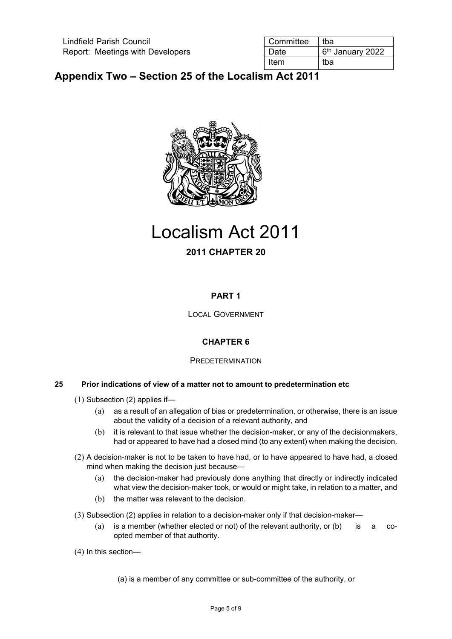| l Committee | tba                          |
|-------------|------------------------------|
| Date        | 6 <sup>th</sup> January 2022 |
| Item        | tba                          |

# **Appendix Two – Section 25 of the Localism Act 2011**



# Localism Act 2011

### **2011 CHAPTER 20**

### **PART 1**

LOCAL GOVERNMENT

### **CHAPTER 6**

### **PREDETERMINATION**

### **25 Prior indications of view of a matter not to amount to predetermination etc**

- (1) Subsection (2) applies if—
	- (a) as a result of an allegation of bias or predetermination, or otherwise, there is an issue about the validity of a decision of a relevant authority, and
	- (b) it is relevant to that issue whether the decision-maker, or any of the decisionmakers, had or appeared to have had a closed mind (to any extent) when making the decision.
- (2) A decision-maker is not to be taken to have had, or to have appeared to have had, a closed mind when making the decision just because—
	- (a) the decision-maker had previously done anything that directly or indirectly indicated what view the decision-maker took, or would or might take, in relation to a matter, and
	- (b) the matter was relevant to the decision.
- (3) Subsection (2) applies in relation to a decision-maker only if that decision-maker—
	- (a) is a member (whether elected or not) of the relevant authority, or (b) is a coopted member of that authority.
- (4) In this section—

(a) is a member of any committee or sub-committee of the authority, or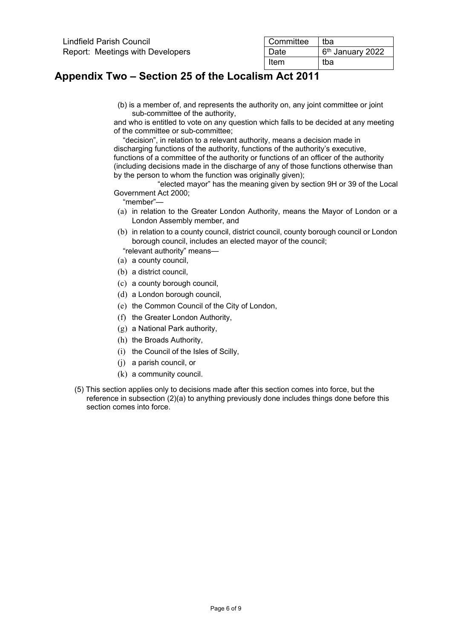| Lindfield Parish Council         | <b>Committee</b> | tba                |
|----------------------------------|------------------|--------------------|
| Report: Meetings with Developers | Date             | $6th$ January 2022 |
|                                  | Item             | tba                |

# **Appendix Two – Section 25 of the Localism Act 2011**

(b) is a member of, and represents the authority on, any joint committee or joint sub-committee of the authority,

and who is entitled to vote on any question which falls to be decided at any meeting of the committee or sub-committee;

"decision", in relation to a relevant authority, means a decision made in discharging functions of the authority, functions of the authority's executive, functions of a committee of the authority or functions of an officer of the authority (including decisions made in the discharge of any of those functions otherwise than by the person to whom the function was originally given);

"elected mayor" has the meaning given by section 9H or 39 of the Local Government Act 2000;

"member"—

- (a) in relation to the Greater London Authority, means the Mayor of London or a London Assembly member, and
- (b) in relation to a county council, district council, county borough council or London borough council, includes an elected mayor of the council;
- "relevant authority" means—
- (a) a county council,
- (b) a district council,
- (c) a county borough council,
- (d) a London borough council,
- (e) the Common Council of the City of London,
- (f) the Greater London Authority,
- (g) a National Park authority,
- (h) the Broads Authority,
- (i) the Council of the Isles of Scilly,
- (j) a parish council, or
- (k) a community council.
- (5) This section applies only to decisions made after this section comes into force, but the reference in subsection (2)(a) to anything previously done includes things done before this section comes into force.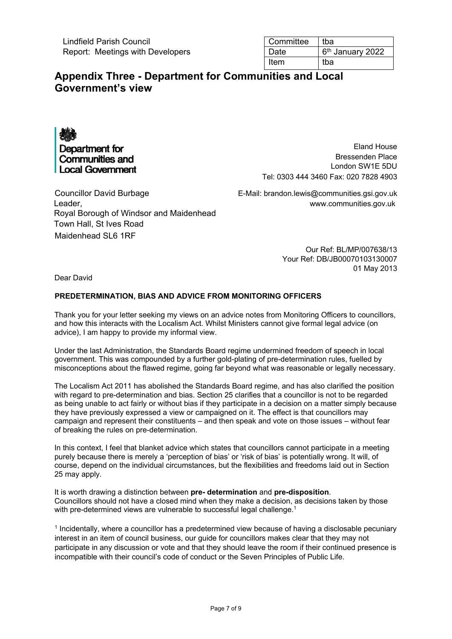Lindfield Parish Council Report: Meetings with Developers

| Committee | tba                          |
|-----------|------------------------------|
| Date      | 6 <sup>th</sup> January 2022 |
| Item      | tba                          |

## **Appendix Three - Department for Communities and Local Government's view**

Department for **Communities and Local Government** 

Eland House Bressenden Place London SW1E 5DU Tel: 0303 444 3460 Fax: 020 7828 4903

Councillor David Burbage E-Mail: brandon.lewis@communities.gsi.gov.uk Leader, www.communities.gov.uk Royal Borough of Windsor and Maidenhead Town Hall, St Ives Road Maidenhead SL6 1RF

Our Ref: BL/MP/007638/13 Your Ref: DB/JB00070103130007 01 May 2013

Dear David

#### **PREDETERMINATION, BIAS AND ADVICE FROM MONITORING OFFICERS**

Thank you for your letter seeking my views on an advice notes from Monitoring Officers to councillors, and how this interacts with the Localism Act. Whilst Ministers cannot give formal legal advice (on advice), I am happy to provide my informal view.

Under the last Administration, the Standards Board regime undermined freedom of speech in local government. This was compounded by a further gold-plating of pre-determination rules, fuelled by misconceptions about the flawed regime, going far beyond what was reasonable or legally necessary.

The Localism Act 2011 has abolished the Standards Board regime, and has also clarified the position with regard to pre-determination and bias. Section 25 clarifies that a councillor is not to be regarded as being unable to act fairly or without bias if they participate in a decision on a matter simply because they have previously expressed a view or campaigned on it. The effect is that councillors may campaign and represent their constituents – and then speak and vote on those issues – without fear of breaking the rules on pre-determination.

In this context, I feel that blanket advice which states that councillors cannot participate in a meeting purely because there is merely a 'perception of bias' or 'risk of bias' is potentially wrong. It will, of course, depend on the individual circumstances, but the flexibilities and freedoms laid out in Section 25 may apply.

It is worth drawing a distinction between **pre- determination** and **pre-disposition**. Councillors should not have a closed mind when they make a decision, as decisions taken by those with pre-determined views are vulnerable to successful legal challenge.<sup>1</sup>

<sup>1</sup> Incidentally, where a councillor has a predetermined view because of having a disclosable pecuniary interest in an item of council business, our guide for councillors makes clear that they may not participate in any discussion or vote and that they should leave the room if their continued presence is incompatible with their council's code of conduct or the Seven Principles of Public Life.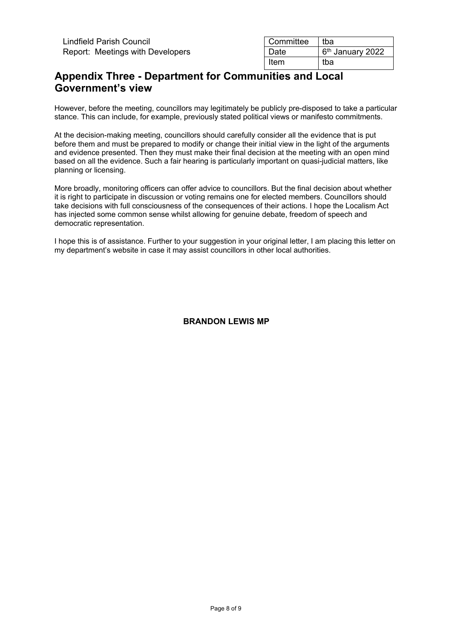| Committee | tba                          |
|-----------|------------------------------|
| Date      | 6 <sup>th</sup> January 2022 |
| Item      | tba                          |

# **Appendix Three - Department for Communities and Local Government's view**

However, before the meeting, councillors may legitimately be publicly pre-disposed to take a particular stance. This can include, for example, previously stated political views or manifesto commitments.

At the decision-making meeting, councillors should carefully consider all the evidence that is put before them and must be prepared to modify or change their initial view in the light of the arguments and evidence presented. Then they must make their final decision at the meeting with an open mind based on all the evidence. Such a fair hearing is particularly important on quasi-judicial matters, like planning or licensing.

More broadly, monitoring officers can offer advice to councillors. But the final decision about whether it is right to participate in discussion or voting remains one for elected members. Councillors should take decisions with full consciousness of the consequences of their actions. I hope the Localism Act has injected some common sense whilst allowing for genuine debate, freedom of speech and democratic representation.

I hope this is of assistance. Further to your suggestion in your original letter, I am placing this letter on my department's website in case it may assist councillors in other local authorities.

**BRANDON LEWIS MP**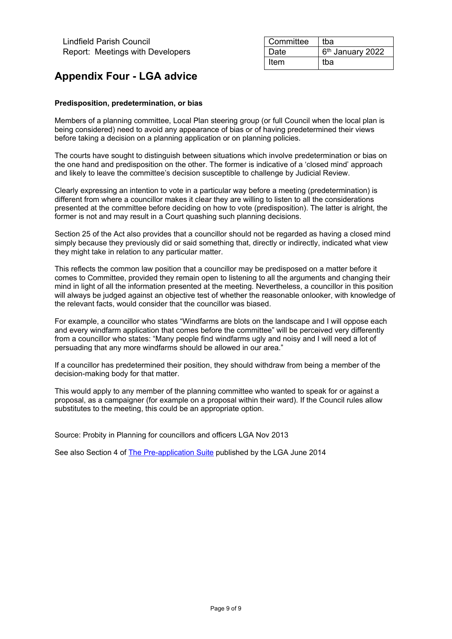| Committee | tba                          |
|-----------|------------------------------|
| Date      | 6 <sup>th</sup> January 2022 |
| Item      | tba                          |

# **Appendix Four - LGA advice**

### **Predisposition, predetermination, or bias**

Members of a planning committee, Local Plan steering group (or full Council when the local plan is being considered) need to avoid any appearance of bias or of having predetermined their views before taking a decision on a planning application or on planning policies.

The courts have sought to distinguish between situations which involve predetermination or bias on the one hand and predisposition on the other. The former is indicative of a 'closed mind' approach and likely to leave the committee's decision susceptible to challenge by Judicial Review.

Clearly expressing an intention to vote in a particular way before a meeting (predetermination) is different from where a councillor makes it clear they are willing to listen to all the considerations presented at the committee before deciding on how to vote (predisposition). The latter is alright, the former is not and may result in a Court quashing such planning decisions.

Section 25 of the Act also provides that a councillor should not be regarded as having a closed mind simply because they previously did or said something that, directly or indirectly, indicated what view they might take in relation to any particular matter.

This reflects the common law position that a councillor may be predisposed on a matter before it comes to Committee, provided they remain open to listening to all the arguments and changing their mind in light of all the information presented at the meeting. Nevertheless, a councillor in this position will always be judged against an objective test of whether the reasonable onlooker, with knowledge of the relevant facts, would consider that the councillor was biased.

For example, a councillor who states "Windfarms are blots on the landscape and I will oppose each and every windfarm application that comes before the committee" will be perceived very differently from a councillor who states: "Many people find windfarms ugly and noisy and I will need a lot of persuading that any more windfarms should be allowed in our area."

If a councillor has predetermined their position, they should withdraw from being a member of the decision-making body for that matter.

This would apply to any member of the planning committee who wanted to speak for or against a proposal, as a campaigner (for example on a proposal within their ward). If the Council rules allow substitutes to the meeting, this could be an appropriate option.

Source: Probity in Planning for councillors and officers LGA Nov 2013

See also Section 4 of [The Pre-application Suite](https://www.local.gov.uk/sites/default/files/documents/pre-application-suite-3e1.pdf) published by the LGA June 2014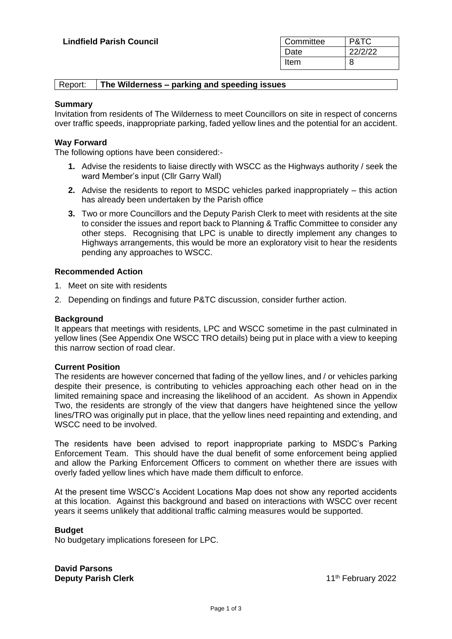| Committee | P&TC    |
|-----------|---------|
| Date      | 22/2/22 |
| Item      | 8       |

| Report:<br>The Wilderness – parking and speeding issues |
|---------------------------------------------------------|
|---------------------------------------------------------|

#### **Summary**

Invitation from residents of The Wilderness to meet Councillors on site in respect of concerns over traffic speeds, inappropriate parking, faded yellow lines and the potential for an accident.

### **Way Forward**

The following options have been considered:-

- **1.** Advise the residents to liaise directly with WSCC as the Highways authority / seek the ward Member's input (Cllr Garry Wall)
- **2.** Advise the residents to report to MSDC vehicles parked inappropriately this action has already been undertaken by the Parish office
- **3.** Two or more Councillors and the Deputy Parish Clerk to meet with residents at the site to consider the issues and report back to Planning & Traffic Committee to consider any other steps. Recognising that LPC is unable to directly implement any changes to Highways arrangements, this would be more an exploratory visit to hear the residents pending any approaches to WSCC.

#### **Recommended Action**

- 1. Meet on site with residents
- 2. Depending on findings and future P&TC discussion, consider further action.

#### **Background**

It appears that meetings with residents, LPC and WSCC sometime in the past culminated in yellow lines (See Appendix One WSCC TRO details) being put in place with a view to keeping this narrow section of road clear.

#### **Current Position**

The residents are however concerned that fading of the yellow lines, and / or vehicles parking despite their presence, is contributing to vehicles approaching each other head on in the limited remaining space and increasing the likelihood of an accident. As shown in Appendix Two, the residents are strongly of the view that dangers have heightened since the yellow lines/TRO was originally put in place, that the yellow lines need repainting and extending, and WSCC need to be involved.

The residents have been advised to report inappropriate parking to MSDC's Parking Enforcement Team. This should have the dual benefit of some enforcement being applied and allow the Parking Enforcement Officers to comment on whether there are issues with overly faded yellow lines which have made them difficult to enforce.

At the present time WSCC's Accident Locations Map does not show any reported accidents at this location. Against this background and based on interactions with WSCC over recent years it seems unlikely that additional traffic calming measures would be supported.

#### **Budget**

No budgetary implications foreseen for LPC.

**David Parsons Deputy Parish Clerk 11th February 2022**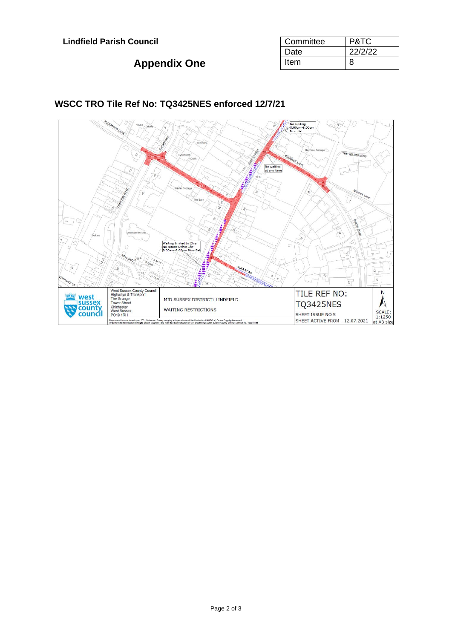# **Appendix One**

| Committee | P&TC    |
|-----------|---------|
| Date      | 22/2/22 |
| Item      | 8       |



### **WSCC TRO Tile Ref No: TQ3425NES enforced 12/7/21**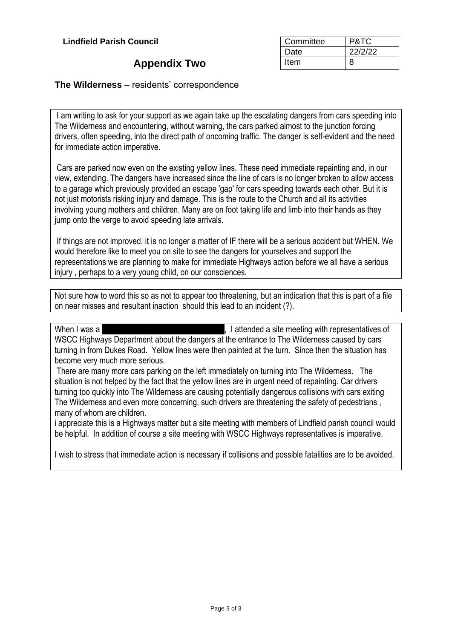## **Appendix Two**

| Committee | P&TC    |
|-----------|---------|
| Date      | 22/2/22 |
| Item      | 8       |

### **The Wilderness** – residents' correspondence

I am writing to ask for your support as we again take up the escalating dangers from cars speeding into The Wilderness and encountering, without warning, the cars parked almost to the junction forcing drivers, often speeding, into the direct path of oncoming traffic. The danger is self-evident and the need for immediate action imperative.

Cars are parked now even on the existing yellow lines. These need immediate repainting and, in our view, extending. The dangers have increased since the line of cars is no longer broken to allow access to a garage which previously provided an escape 'gap' for cars speeding towards each other. But it is not just motorists risking injury and damage. This is the route to the Church and all its activities involving young mothers and children. Many are on foot taking life and limb into their hands as they jump onto the verge to avoid speeding late arrivals.

If things are not improved, it is no longer a matter of IF there will be a serious accident but WHEN. We would therefore like to meet you on site to see the dangers for yourselves and support the representations we are planning to make for immediate Highways action before we all have a serious injury , perhaps to a very young child, on our consciences.

Not sure how to word this so as not to appear too threatening, but an indication that this is part of a file on near misses and resultant inaction should this lead to an incident (?).

When I was a redacted redacted redactive redactives of redactives of redactives of WSCC Highways Department about the dangers at the entrance to The Wilderness caused by cars turning in from Dukes Road. Yellow lines were then painted at the turn. Since then the situation has become very much more serious.

There are many more cars parking on the left immediately on turning into The Wilderness. The situation is not helped by the fact that the yellow lines are in urgent need of repainting. Car drivers turning too quickly into The Wilderness are causing potentially dangerous collisions with cars exiting The Wilderness and even more concerning, such drivers are threatening the safety of pedestrians , many of whom are children.

i appreciate this is a Highways matter but a site meeting with members of Lindfield parish council would be helpful. In addition of course a site meeting with WSCC Highways representatives is imperative.

I wish to stress that immediate action is necessary if collisions and possible fatalities are to be avoided.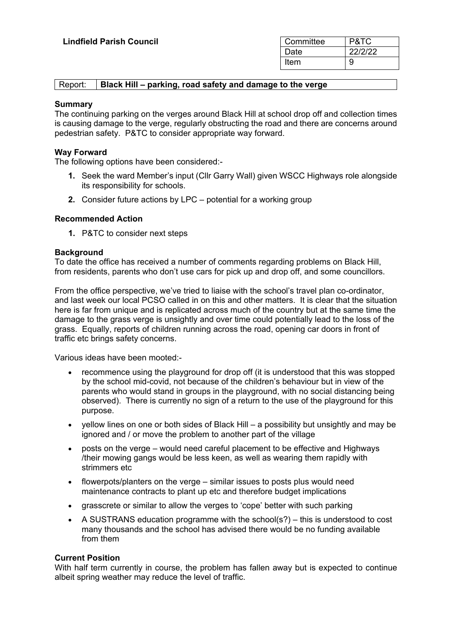| <b>Lindfield Parish Council</b> | Committee | P&TC    |
|---------------------------------|-----------|---------|
|                                 | Date      | 22/2/22 |
|                                 | Item      | У       |

### Report: **Black Hill – parking, road safety and damage to the verge**

### **Summary**

The continuing parking on the verges around Black Hill at school drop off and collection times is causing damage to the verge, regularly obstructing the road and there are concerns around pedestrian safety. P&TC to consider appropriate way forward.

### **Way Forward**

The following options have been considered:-

- **1.** Seek the ward Member's input (Cllr Garry Wall) given WSCC Highways role alongside its responsibility for schools.
- **2.** Consider future actions by LPC potential for a working group

### **Recommended Action**

**1.** P&TC to consider next steps

### **Background**

To date the office has received a number of comments regarding problems on Black Hill, from residents, parents who don't use cars for pick up and drop off, and some councillors.

From the office perspective, we've tried to liaise with the school's travel plan co-ordinator, and last week our local PCSO called in on this and other matters. It is clear that the situation here is far from unique and is replicated across much of the country but at the same time the damage to the grass verge is unsightly and over time could potentially lead to the loss of the grass. Equally, reports of children running across the road, opening car doors in front of traffic etc brings safety concerns.

Various ideas have been mooted:-

- recommence using the playground for drop off (it is understood that this was stopped by the school mid-covid, not because of the children's behaviour but in view of the parents who would stand in groups in the playground, with no social distancing being observed). There is currently no sign of a return to the use of the playground for this purpose.
- yellow lines on one or both sides of Black Hill a possibility but unsightly and may be ignored and / or move the problem to another part of the village
- posts on the verge would need careful placement to be effective and Highways /their mowing gangs would be less keen, as well as wearing them rapidly with strimmers etc
- flowerpots/planters on the verge similar issues to posts plus would need maintenance contracts to plant up etc and therefore budget implications
- grasscrete or similar to allow the verges to 'cope' better with such parking
- A SUSTRANS education programme with the school(s?) this is understood to cost many thousands and the school has advised there would be no funding available from them

### **Current Position**

With half term currently in course, the problem has fallen away but is expected to continue albeit spring weather may reduce the level of traffic.